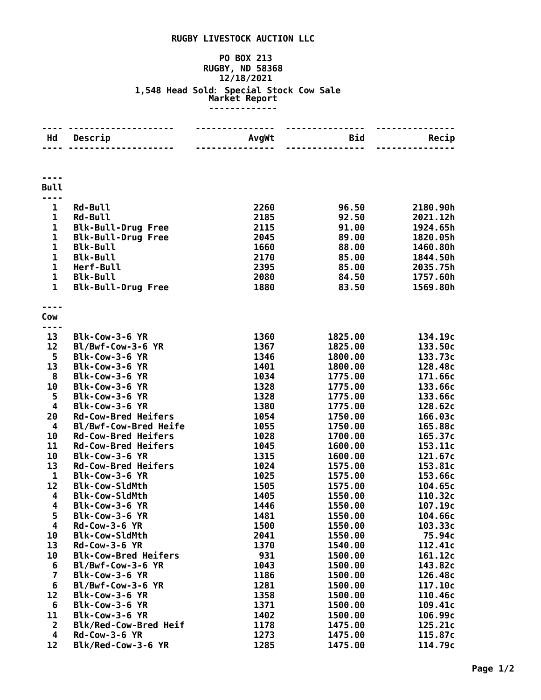## **RUGBY LIVESTOCK AUCTION LLC**

## **PO BOX 213 RUGBY, ND 58368 12/18/2021 1,548 Head Sold: Special Stock Cow Sale Market Report -------------**

| Hd                            | <u> - - - - - - - - -</u><br>Descrip<br>. | --------------<br>AvgWt<br>--------------- | ---------------<br>Bid<br>---------------- | Recip                |
|-------------------------------|-------------------------------------------|--------------------------------------------|--------------------------------------------|----------------------|
|                               |                                           |                                            |                                            |                      |
| <b>Bull</b>                   |                                           |                                            |                                            |                      |
| $\mathbf{1}$                  | <b>Rd-Bull</b>                            | 2260                                       |                                            |                      |
| $\mathbf 1$                   | <b>Rd-Bull</b>                            | 2185                                       | 96.50<br>92.50                             | 2180.90h<br>2021.12h |
| $\mathbf{1}$                  | <b>Blk-Bull-Drug Free</b>                 | 2115                                       | 91.00                                      | 1924.65h             |
| $\mathbf 1$                   | <b>Blk-Bull-Drug Free</b>                 | 2045                                       | 89.00                                      | 1820.05h             |
| $\mathbf{1}$                  | <b>Blk-Bull</b>                           | 1660                                       | 88.00                                      | 1460.80h             |
| $\mathbf 1$                   | <b>Blk-Bull</b>                           | 2170                                       | 85.00                                      | 1844.50h             |
| $\mathbf{1}$                  | Herf-Bull                                 | 2395                                       | 85.00                                      | 2035.75h             |
| $\mathbf 1$                   | <b>Blk-Bull</b>                           | 2080                                       | 84.50                                      | 1757.60h             |
| $\mathbf{1}$                  | <b>Blk-Bull-Drug Free</b>                 | 1880                                       | 83.50                                      | 1569.80h             |
|                               |                                           |                                            |                                            |                      |
| Cow                           |                                           |                                            |                                            |                      |
| .                             |                                           |                                            |                                            |                      |
| 13                            | Blk-Cow-3-6 YR                            | 1360                                       | 1825.00                                    | 134.19c              |
| 12                            | Bl/Bwf-Cow-3-6 YR                         | 1367                                       | 1825.00                                    | 133.50c              |
| 5                             | Blk-Cow-3-6 YR                            | 1346                                       | 1800.00                                    | 133.73c              |
| 13                            | Blk-Cow-3-6 YR                            | 1401                                       | 1800.00                                    | 128.48c<br>171.66c   |
| 8<br>10                       | Blk-Cow-3-6 YR<br>Blk-Cow-3-6 YR          | 1034<br>1328                               | 1775.00<br>1775.00                         | 133.66c              |
| 5                             | Blk-Cow-3-6 YR                            | 1328                                       | 1775.00                                    | 133.66c              |
| $\overline{\mathbf{4}}$       | Blk-Cow-3-6 YR                            | 1380                                       | 1775.00                                    | 128.62c              |
| 20                            | <b>Rd-Cow-Bred Heifers</b>                | 1054                                       | 1750.00                                    | 166.03c              |
| $\overline{\mathbf{4}}$       | Bl/Bwf-Cow-Bred Heife                     | 1055                                       | 1750.00                                    | 165.88c              |
| 10                            | <b>Rd-Cow-Bred Heifers</b>                | 1028                                       | 1700.00                                    | 165.37c              |
| 11                            | <b>Rd-Cow-Bred Heifers</b>                | 1045                                       | 1600.00                                    | 153.11c              |
| 10                            | Blk-Cow-3-6 YR                            | 1315                                       | 1600.00                                    | 121.67c              |
| 13                            | <b>Rd-Cow-Bred Heifers</b>                | 1024                                       | 1575.00                                    | 153.81c              |
| $\mathbf{1}$                  | Blk-Cow-3-6 YR                            | 1025                                       | 1575.00                                    | 153.66c              |
| 12                            | <b>Blk-Cow-SldMth</b>                     | 1505                                       | 1575.00                                    | 104.65c              |
| $\overline{\mathbf{4}}$       | <b>Blk-Cow-SldMth</b>                     | 1405                                       | 1550.00                                    | 110.32c              |
| 4                             | Blk-Cow-3-6 YR                            | 1446                                       | 1550.00                                    | 107.19c              |
| 5                             | Blk-Cow-3-6 YR                            | 1481                                       | 1550.00                                    | 104.66c              |
| 4                             | <b>Rd-Cow-3-6 YR</b>                      | 1500                                       | 1550.00                                    | 103.33c              |
| 10                            | <b>Blk-Cow-SldMth</b>                     | 2041                                       | 1550.00                                    | 75.94c               |
| 13                            | $Rd$ -Cow-3-6 YR                          | 1370                                       | 1540.00                                    | 112.41c              |
| 10                            | <b>Blk-Cow-Bred Heifers</b>               | 931                                        | 1500.00                                    | 161.12c              |
| 6                             | Bl/Bwf-Cow-3-6 YR                         | 1043                                       | 1500.00                                    | 143.82c              |
| 7                             | Blk-Cow-3-6 YR                            | 1186                                       | 1500.00                                    | 126.48c              |
| 6                             | Bl/Bwf-Cow-3-6 YR                         | 1281                                       | 1500.00                                    | 117.10c              |
| 12                            | Blk-Cow-3-6 YR                            | 1358                                       | 1500.00                                    | 110.46c              |
| 6                             | Blk-Cow-3-6 YR                            | 1371                                       | 1500.00<br>1500.00                         | 109.41c              |
| 11<br>$\overline{\mathbf{2}}$ | Blk-Cow-3-6 YR<br>Blk/Red-Cow-Bred Heif   | 1402<br>1178                               | 1475.00                                    | 106.99c<br>125.21c   |
| 4                             | <b>Rd-Cow-3-6 YR</b>                      | 1273                                       | 1475.00                                    | 115.87c              |
| 12                            | Blk/Red-Cow-3-6 YR                        | 1285                                       | 1475.00                                    | 114.79c              |
|                               |                                           |                                            |                                            |                      |